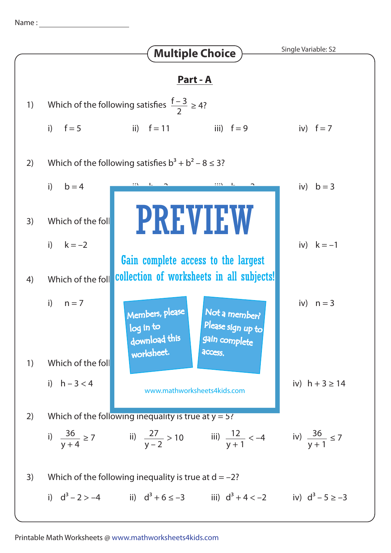